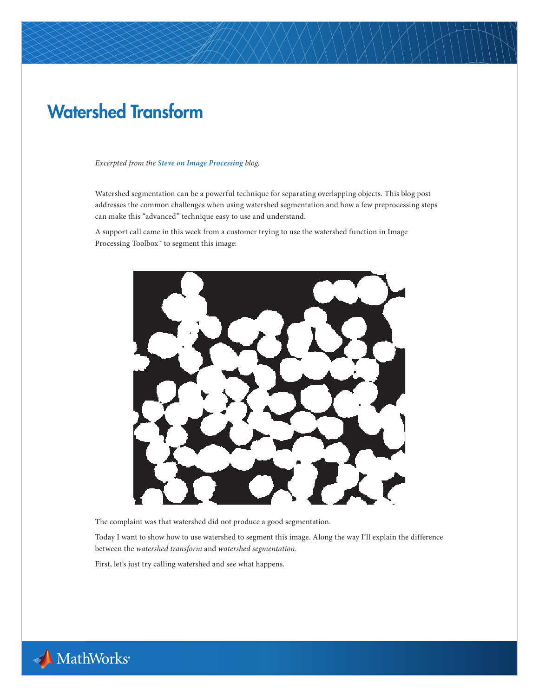# Watershed Transform

#### *Excerpted from the [Steve on Image Processing](http://blogs.mathworks.com/steve/) blog.*

Watershed segmentation can be a powerful technique for separating overlapping objects. This blog post addresses the common challenges when using watershed segmentation and how a few preprocessing steps can make this "advanced" technique easy to use and understand.

A support call came in this week from a customer trying to use the watershed function in Image Processing Toolbox™ to segment this image:



The complaint was that watershed did not produce a good segmentation.

Today I want to show how to use watershed to segment this image. Along the way I'll explain the difference between the *watershed transform* and *watershed segmentation*.

First, let's just try calling watershed and see what happens.

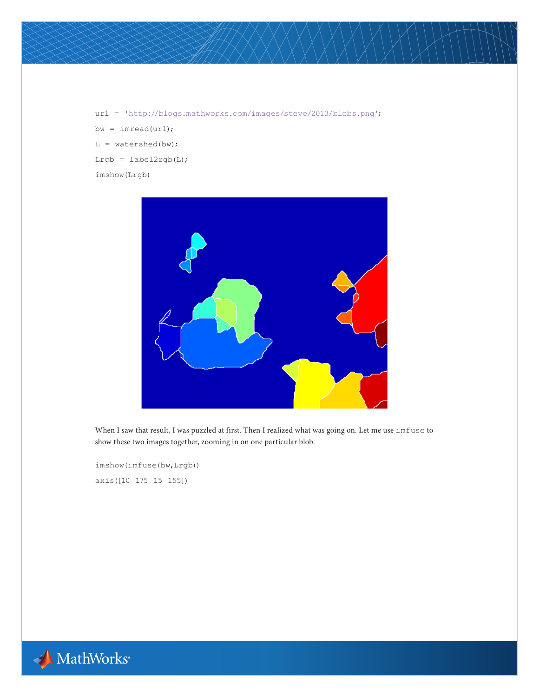url = 'http://blogs.mathworks.com/images/steve/2013/blobs.png'; bw = imread(url);  $L = watershed(bw);$ Lrgb =  $label2rgb(1)}$ imshow(Lrgb)



When I saw that result, I was puzzled at first. Then I realized what was going on. Let me use imfuse to show these two images together, zooming in on one particular blob.

imshow(imfuse(bw,Lrgb)) axis([10 175 15 155])

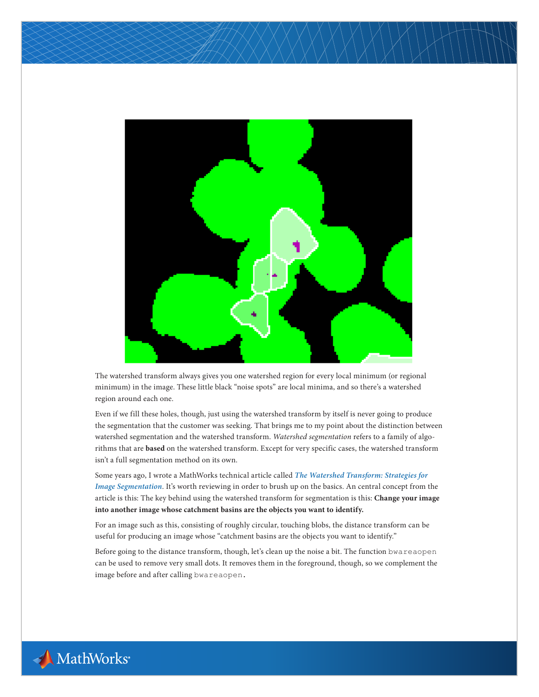

The watershed transform always gives you one watershed region for every local minimum (or regional minimum) in the image. These little black "noise spots" are local minima, and so there's a watershed region around each one.

Even if we fill these holes, though, just using the watershed transform by itself is never going to produce the segmentation that the customer was seeking. That brings me to my point about the distinction between watershed segmentation and the watershed transform. *Watershed segmentation* refers to a family of algorithms that are **based** on the watershed transform. Except for very specific cases, the watershed transform isn't a full segmentation method on its own.

Some years ago, I wrote a MathWorks technical article called *[The Watershed Transform: Strategies for](http://www.mathworks.com/company/newsletters/articles/the-watershed-transform-strategies-for-image-segmentation.html)  [Image Segmentation](http://www.mathworks.com/company/newsletters/articles/the-watershed-transform-strategies-for-image-segmentation.html)*. It's worth reviewing in order to brush up on the basics. An central concept from the article is this: The key behind using the watershed transform for segmentation is this: **Change your image into another image whose catchment basins are the objects you want to identify.**

For an image such as this, consisting of roughly circular, touching blobs, the distance transform can be useful for producing an image whose "catchment basins are the objects you want to identify."

Before going to the distance transform, though, let's clean up the noise a bit. The function bwareaopen can be used to remove very small dots. It removes them in the foreground, though, so we complement the image before and after calling bwareaopen.

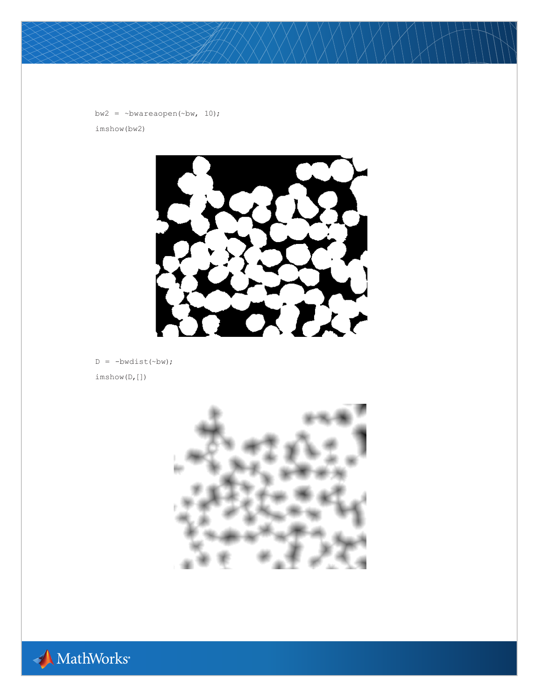```
bw2 = \simbwareaopen(\simbw, 10);
imshow(bw2)
```


 $D = -bwdist(\sim bw)$ ; imshow(D,[])



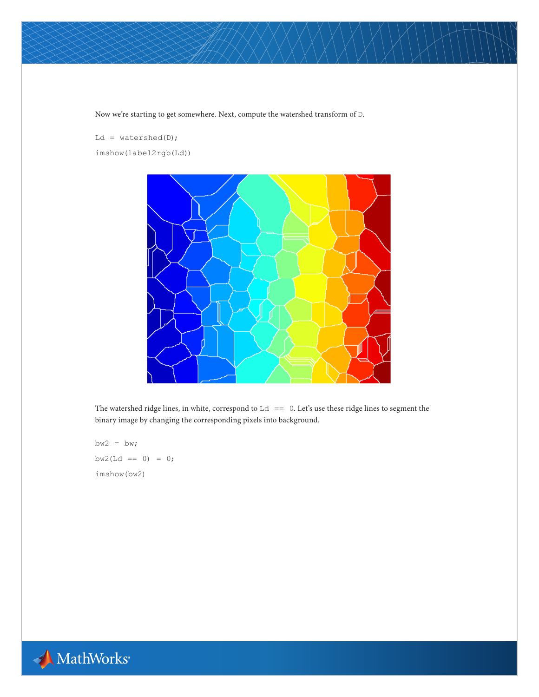Now we're starting to get somewhere. Next, compute the watershed transform of  $\mathtt{D}.$ 

Ld =  $watershed(D);$ imshow(label2rgb(Ld))



The watershed ridge lines, in white, correspond to  $Ld = 0$ . Let's use these ridge lines to segment the binary image by changing the corresponding pixels into background.

 $bw2 = bw;$  $bw2(Ld == 0) = 0;$ imshow(bw2)

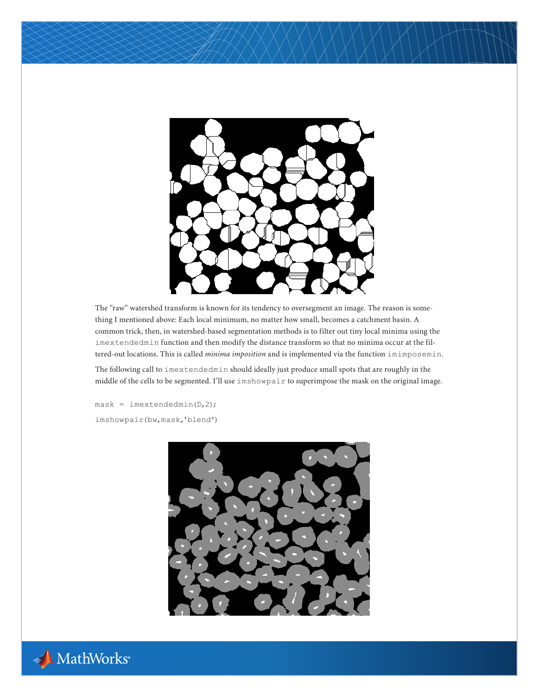

The "raw" watershed transform is known for its tendency to oversegment an image. The reason is something I mentioned above: Each local minimum, no matter how small, becomes a catchment basin. A common trick, then, in watershed-based segmentation methods is to filter out tiny local minima using the imextendedmin function and then modify the distance transform so that no minima occur at the filtered-out locations. This is called *minima imposition* and is implemented via the function imimposemin.

The following call to imextendedmin should ideally just produce small spots that are roughly in the middle of the cells to be segmented. I'll use imshowpair to superimpose the mask on the original image.

 $mask = investment(D, 2);$ imshowpair(bw,mask,'blend')